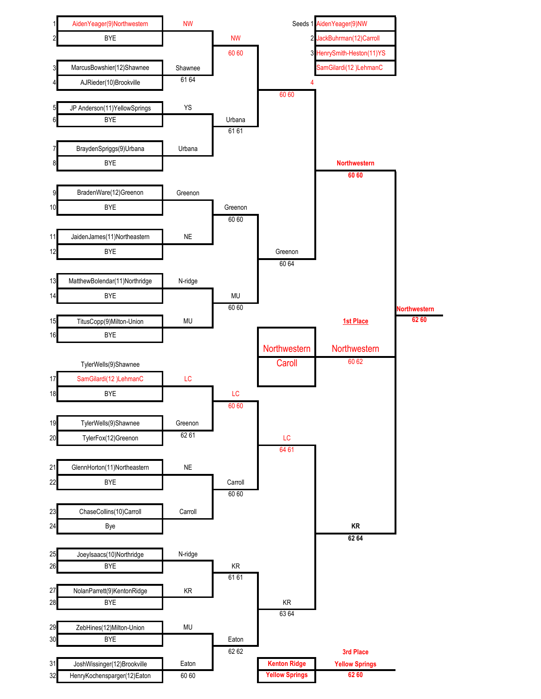